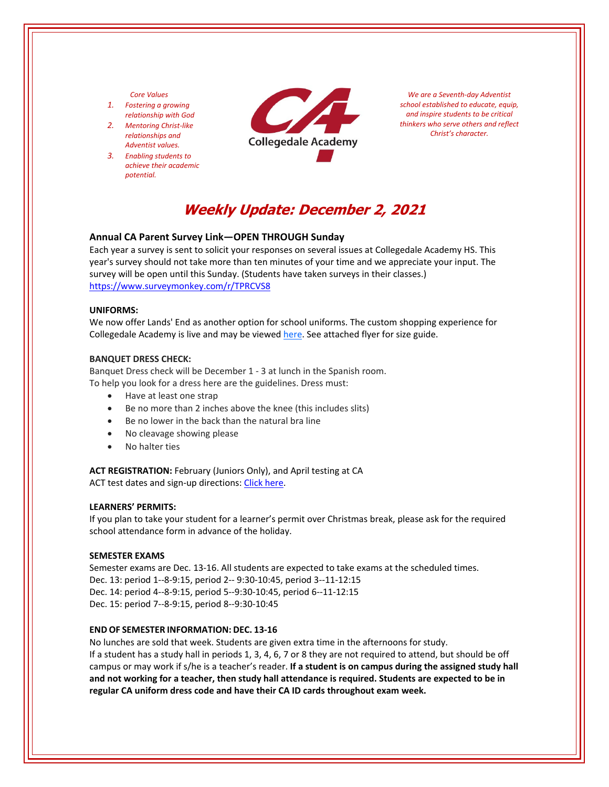## *Core Values*

- *1. Fostering a growing relationship with God*
- *2. Mentoring Christ‐like relationships and Adventist values.*
- *3. Enabling students to achieve their academic potential.*



*We are a Seventh‐day Adventist school established to educate, equip, and inspire students to be critical thinkers who serve others and reflect Christ's character.*

# **Weekly Update: December 2, 2021**

## **Annual CA Parent Survey Link—OPEN THROUGH Sunday**

Each year a survey is sent to solicit your responses on several issues at Collegedale Academy HS. This year's survey should not take more than ten minutes of your time and we appreciate your input. The survey will be open until this Sunday. (Students have taken surveys in their classes.) <https://www.surveymonkey.com/r/TPRCVS8>

# **UNIFORMS:**

We now offer Lands' End as another option for school uniforms. The custom shopping experience for Collegedale Academy is live and may be viewed [here.](https://www.landsend.com/co/account/school-uniforms?selectedSchoolNum=900196254) See attached flyer for size guide.

## **BANQUET DRESS CHECK:**

Banquet Dress check will be December 1 ‐ 3 at lunch in the Spanish room. To help you look for a dress here are the guidelines. Dress must:

- Have at least one strap
- Be no more than 2 inches above the knee (this includes slits)
- Be no lower in the back than the natural bra line
- No cleavage showing please
- No halter ties

**ACT REGISTRATION:** February (Juniors Only), and April testing at CA ACT test dates and sign-up directions: Click [here.](https://www.act.org/)

## **LEARNERS' PERMITS:**

If you plan to take your student for a learner's permit over Christmas break, please ask for the required school attendance form in advance of the holiday.

#### **SEMESTER EXAMS**

Semester exams are Dec. 13‐16. All students are expected to take exams at the scheduled times. Dec. 13: period 1‐‐8‐9:15, period 2‐‐ 9:30‐10:45, period 3‐‐11‐12:15 Dec. 14: period 4‐‐8‐9:15, period 5‐‐9:30‐10:45, period 6‐‐11‐12:15 Dec. 15: period 7‐‐8‐9:15, period 8‐‐9:30‐10:45

# **END OF SEMESTER INFORMATION: DEC. 13‐16**

No lunches are sold that week. Students are given extra time in the afternoons for study. If a student has a study hall in periods 1, 3, 4, 6, 7 or 8 they are not required to attend, but should be off campus or may work if s/he is a teacher's reader. **If a student is on campus during the assigned study hall** and not working for a teacher, then study hall attendance is required. Students are expected to be in **regular CA uniform dress code and have their CA ID cards throughout exam week.**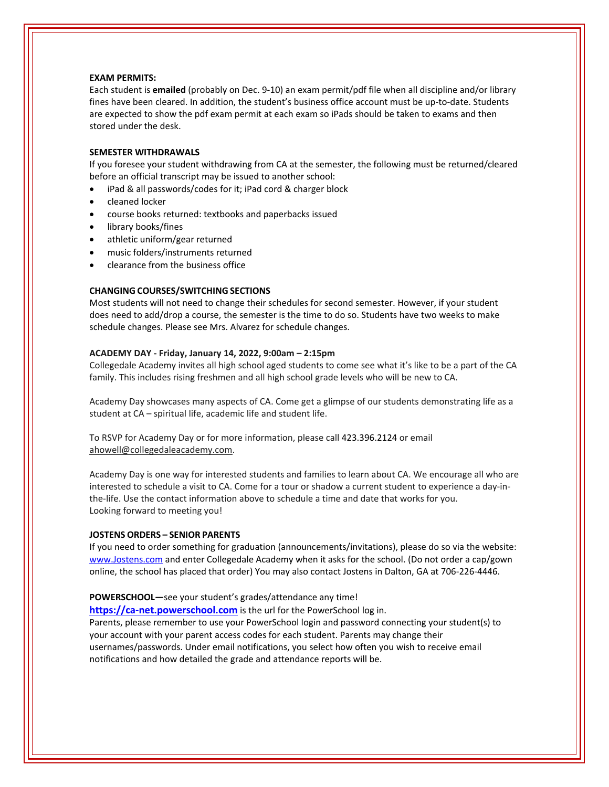## **EXAM PERMITS:**

Each student is **emailed** (probably on Dec. 9‐10) an exam permit/pdf file when all discipline and/or library fines have been cleared. In addition, the student's business office account must be up-to-date. Students are expected to show the pdf exam permit at each exam so iPads should be taken to exams and then stored under the desk.

## **SEMESTER WITHDRAWALS**

If you foresee your student withdrawing from CA at the semester, the following must be returned/cleared before an official transcript may be issued to another school:

- iPad & all passwords/codes for it; iPad cord & charger block
- cleaned locker
- course books returned: textbooks and paperbacks issued
- library books/fines
- athletic uniform/gear returned
- music folders/instruments returned
- clearance from the business office

## **CHANGING COURSES/SWITCHING SECTIONS**

Most students will not need to change their schedules for second semester. However, if your student does need to add/drop a course, the semester is the time to do so. Students have two weeks to make schedule changes. Please see Mrs. Alvarez for schedule changes.

#### **ACADEMY DAY ‐ Friday, January 14, 2022, 9:00am – 2:15pm**

Collegedale Academy invites all high school aged students to come see what it's like to be a part of the CA family. This includes rising freshmen and all high school grade levels who will be new to CA.

Academy Day showcases many aspects of CA. Come get a glimpse of our students demonstrating life as a student at CA – spiritual life, academic life and student life.

To RSVP for Academy Day or for more information, please call 423.396.2124 or email ahowell@collegedaleacademy.com.

Academy Day is one way for interested students and families to learn about CA. We encourage all who are interested to schedule a visit to CA. Come for a tour or shadow a current student to experience a day-inthe‐life. Use the contact information above to schedule a time and date that works for you. Looking forward to meeting you!

#### **JOSTENS ORDERS – SENIOR PARENTS**

If you need to order something for graduation (announcements/invitations), please do so via the website: [www.Jostens.com](https://www.jostens.com/) and enter Collegedale Academy when it asks for the school. (Do not order a cap/gown online, the school has placed that order) You may also contact Jostens in Dalton, GA at 706‐226‐4446.

#### **POWERSCHOOL—**see your student's grades/attendance any time!

**https://ca-[net.powerschool.com](https://ca-net.powerschool.com/public/)** is the url for the PowerSchool log in. Parents, please remember to use your PowerSchool login and password connecting your student(s) to

your account with your parent access codes for each student. Parents may change their usernames/passwords. Under email notifications, you select how often you wish to receive email notifications and how detailed the grade and attendance reports will be.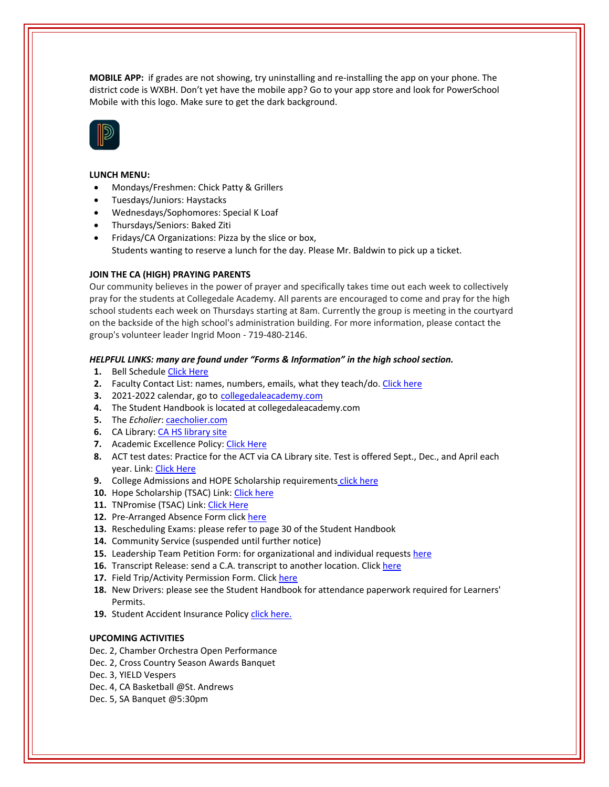**MOBILE APP:** if grades are not showing, try uninstalling and re‐installing the app on your phone. The district code is WXBH. Don't yet have the mobile app? Go to your app store and look for PowerSchool Mobile with this logo. Make sure to get the dark background.



## **LUNCH MENU:**

- Mondays/Freshmen: Chick Patty & Grillers
- Tuesdays/Juniors: Haystacks
- Wednesdays/Sophomores: Special K Loaf
- Thursdays/Seniors: Baked Ziti
- Fridays/CA Organizations: Pizza by the slice or box, Students wanting to reserve a lunch for the day. Please Mr. Baldwin to pick up a ticket.

## **JOIN THE CA (HIGH) PRAYING PARENTS**

Our community believes in the power of prayer and specifically takes time out each week to collectively pray for the students at Collegedale Academy. All parents are encouraged to come and pray for the high school students each week on Thursdays starting at 8am. Currently the group is meeting in the courtyard on the backside of the high school's administration building. For more information, please contact the group's volunteer leader Ingrid Moon ‐ 719‐480‐2146.

#### *HELPFUL LINKS: many are found under "Forms & Information" in the high school section.*

- **1.** Bell Schedule Click [Here](https://www.collegedaleacademy.com/wp-content/uploads/2018/08/Bell-Schedule.pdf)
- **2.** Faculty Contact List: names, numbers, emails, what they teach/do. [Click](https://www.collegedaleacademy.com/wp-content/uploads/2021/08/faculty-only-2021-2022.pdf) here
- **3.** 2021‐2022 calendar, go to [collegedaleacademy.com](https://www.collegedaleacademy.com/calendars/)
- **4.** The Student Handbook is located at collegedaleacademy.com
- **5.** The *Echolier*: *[caecholier.com](https://caecholier.com/)*
- **6.** CA Library: CA HS [library](https://southernuniongcc.mlasolutions.com/m5/catalog/(S(bqnox5glxtnpla2litm1owji))/default.aspx?installation=CDA) site
- **7.** Academic Excellence Policy: Click [Here](https://www.collegedaleacademy.com/wp-content/uploads/2018/08/Academic-Excellence-Policy.pdf)
- **8.** ACT test dates: Practice for the ACT via CA Library site. Test is offered Sept., Dec., and April each year. Link: Click [Here](https://www.act.org/)
- **9.** College Admissions and HOPE Scholarship requirements click [here](https://www.collegedaleacademy.com/wp-content/uploads/2019/08/TSAC-Scholarship-Info.pdf)
- **10.** Hope Scholarship (TSAC) Link: Click [here](https://www.tn.gov/collegepays/money-for-college/tn-education-lottery-programs/tennessee-hope-scholarship.html)
- **11.** TNPromise (TSAC) Link: Click [Here](https://www.tn.gov/tnpromise.html)
- 12. Pre-Arranged Absence Form click [here](https://www.collegedaleacademy.com/wp-content/uploads/2016/11/Class-Absence-Request-Form-May-2017.pdf)
- **13.** Rescheduling Exams: please refer to page 30 of the Student Handbook
- **14.** Community Service (suspended until further notice)
- **15.** Leadership Team Petition Form: for organizational and individual requests [here](https://www.collegedaleacademy.com/wp-content/uploads/2019/08/Leadership-Petition-SSch.pdf)
- **16.** Transcript Release: send a C.A. transcript to another location. Click [here](https://www.collegedaleacademy.com/wp-content/uploads/2016/12/transcriptrelease2014.pdf)
- **17.** Field Trip/Activity Permission Form. Click [here](https://www.collegedaleacademy.com/wp-content/uploads/2018/08/Field-Trip-form.pdf)
- **18.** New Drivers: please see the Student Handbook for attendance paperwork required for Learners' Permits.
- 19. Student Accident Insurance Policy click [here.](https://adventistrisk.org/en-us/insurance/nad/k-12-student-accident)

# **UPCOMING ACTIVITIES**

- Dec. 2, Chamber Orchestra Open Performance
- Dec. 2, Cross Country Season Awards Banquet
- Dec. 3, YIELD Vespers
- Dec. 4, CA Basketball @St. Andrews
- Dec. 5, SA Banquet @5:30pm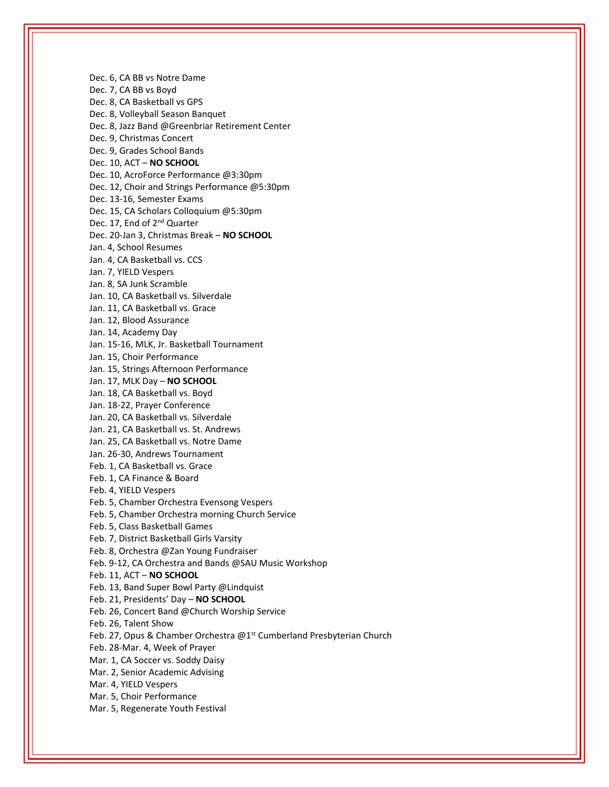Dec. 6, CA BB vs Notre Dame Dec. 7, CA BB vs Boyd Dec. 8, CA Basketball vs GPS Dec. 8, Volleyball Season Banquet Dec. 8, Jazz Band @Greenbriar Retirement Center Dec. 9, Christmas Concert Dec. 9, Grades School Bands Dec. 10, ACT – **NO SCHOOL** Dec. 10, AcroForce Performance @3:30pm Dec. 12, Choir and Strings Performance @5:30pm Dec. 13‐16, Semester Exams Dec. 15, CA Scholars Colloquium @5:30pm Dec. 17, End of 2<sup>nd</sup> Quarter Dec. 20‐Jan 3, Christmas Break – **NO SCHOOL** Jan. 4, School Resumes Jan. 4, CA Basketball vs. CCS Jan. 7, YIELD Vespers Jan. 8, SA Junk Scramble Jan. 10, CA Basketball vs. Silverdale Jan. 11, CA Basketball vs. Grace Jan. 12, Blood Assurance Jan. 14, Academy Day Jan. 15‐16, MLK, Jr. Basketball Tournament Jan. 15, Choir Performance Jan. 15, Strings Afternoon Performance Jan. 17, MLK Day – **NO SCHOOL** Jan. 18, CA Basketball vs. Boyd Jan. 18‐22, Prayer Conference Jan. 20, CA Basketball vs. Silverdale Jan. 21, CA Basketball vs. St. Andrews Jan. 25, CA Basketball vs. Notre Dame Jan. 26‐30, Andrews Tournament Feb. 1, CA Basketball vs. Grace Feb. 1, CA Finance & Board Feb. 4, YIELD Vespers Feb. 5, Chamber Orchestra Evensong Vespers Feb. 5, Chamber Orchestra morning Church Service Feb. 5, Class Basketball Games Feb. 7, District Basketball Girls Varsity Feb. 8, Orchestra @Zan Young Fundraiser Feb. 9‐12, CA Orchestra and Bands @SAU Music Workshop Feb. 11, ACT – **NO SCHOOL** Feb. 13, Band Super Bowl Party @Lindquist Feb. 21, Presidents' Day – **NO SCHOOL** Feb. 26, Concert Band @Church Worship Service Feb. 26, Talent Show Feb. 27, Opus & Chamber Orchestra @1<sup>st</sup> Cumberland Presbyterian Church Feb. 28‐Mar. 4, Week of Prayer Mar. 1, CA Soccer vs. Soddy Daisy Mar. 2, Senior Academic Advising Mar. 4, YIELD Vespers Mar. 5, Choir Performance Mar. 5, Regenerate Youth Festival